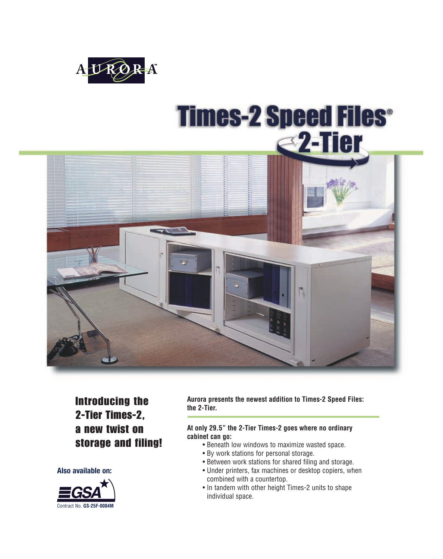

# **Times-2 Speed Files® e2-Tier**



Introducing the 2-Tier Times-2, a new twist on storage and filing!

**Also available on:**



**Aurora presents the newest addition to Times-2 Speed Files: the 2-Tier.** 

#### **At only 29.5" the 2-Tier Times-2 goes where no ordinary cabinet can go:**

- Beneath low windows to maximize wasted space.
- By work stations for personal storage.
- Between work stations for shared filing and storage.
- Under printers, fax machines or desktop copiers, when combined with a countertop.
- In tandem with other height Times-2 units to shape individual space.